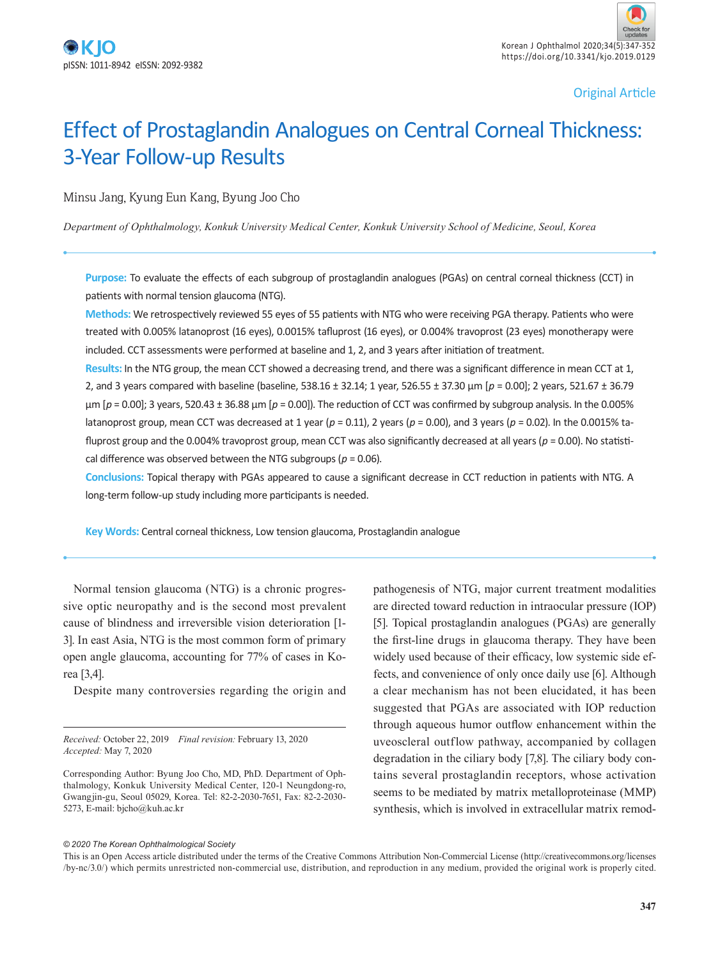Original Article

# Effect of Prostaglandin Analogues on Central Corneal Thickness: 3-Year Follow-up Results

Minsu Jang, Kyung Eun Kang, Byung Joo Cho

*Department of Ophthalmology, Konkuk University Medical Center, Konkuk University School of Medicine, Seoul, Korea*

**Purpose:** To evaluate the effects of each subgroup of prostaglandin analogues (PGAs) on central corneal thickness (CCT) in patients with normal tension glaucoma (NTG).

**Methods:** We retrospectively reviewed 55 eyes of 55 patients with NTG who were receiving PGA therapy. Patients who were treated with 0.005% latanoprost (16 eyes), 0.0015% tafluprost (16 eyes), or 0.004% travoprost (23 eyes) monotherapy were included. CCT assessments were performed at baseline and 1, 2, and 3 years after initiation of treatment.

**Results:** In the NTG group, the mean CCT showed a decreasing trend, and there was a significant difference in mean CCT at 1, 2, and 3 years compared with baseline (baseline, 538.16 ± 32.14; 1 year, 526.55 ± 37.30 µm [*p* = 0.00]; 2 years, 521.67 ± 36.79 µm [*p* = 0.00]; 3 years, 520.43 ± 36.88 µm [*p* = 0.00]). The reduction of CCT was confirmed by subgroup analysis. In the 0.005% latanoprost group, mean CCT was decreased at 1 year (*p* = 0.11), 2 years (*p* = 0.00), and 3 years (*p* = 0.02). In the 0.0015% tafluprost group and the 0.004% travoprost group, mean CCT was also significantly decreased at all years (*p* = 0.00). No statistical difference was observed between the NTG subgroups ( $p = 0.06$ ).

**Conclusions:** Topical therapy with PGAs appeared to cause a significant decrease in CCT reduction in patients with NTG. A long-term follow-up study including more participants is needed.

**Key Words:** Central corneal thickness, Low tension glaucoma, Prostaglandin analogue

Normal tension glaucoma (NTG) is a chronic progressive optic neuropathy and is the second most prevalent cause of blindness and irreversible vision deterioration [1- 3]. In east Asia, NTG is the most common form of primary open angle glaucoma, accounting for 77% of cases in Korea [3,4].

Despite many controversies regarding the origin and

*Received:* October 22, 2019 *Final revision:* February 13, 2020 *Accepted:* May 7, 2020

pathogenesis of NTG, major current treatment modalities are directed toward reduction in intraocular pressure (IOP) [5]. Topical prostaglandin analogues (PGAs) are generally the first-line drugs in glaucoma therapy. They have been widely used because of their efficacy, low systemic side effects, and convenience of only once daily use [6]. Although a clear mechanism has not been elucidated, it has been suggested that PGAs are associated with IOP reduction through aqueous humor outflow enhancement within the uveoscleral outflow pathway, accompanied by collagen degradation in the ciliary body [7,8]. The ciliary body contains several prostaglandin receptors, whose activation seems to be mediated by matrix metalloproteinase (MMP) synthesis, which is involved in extracellular matrix remod-

#### *© 2020 The Korean Ophthalmological Society*

This is an Open Access article distributed under the terms of the Creative Commons Attribution Non-Commercial License (http://creativecommons.org/licenses /by-nc/3.0/) which permits unrestricted non-commercial use, distribution, and reproduction in any medium, provided the original work is properly cited.

Corresponding Author: Byung Joo Cho, MD, PhD. Department of Ophthalmology, Konkuk University Medical Center, 120-1 Neungdong-ro, Gwangjin-gu, Seoul 05029, Korea. Tel: 82-2-2030-7651, Fax: 82-2-2030- 5273, E-mail: bjcho@kuh.ac.kr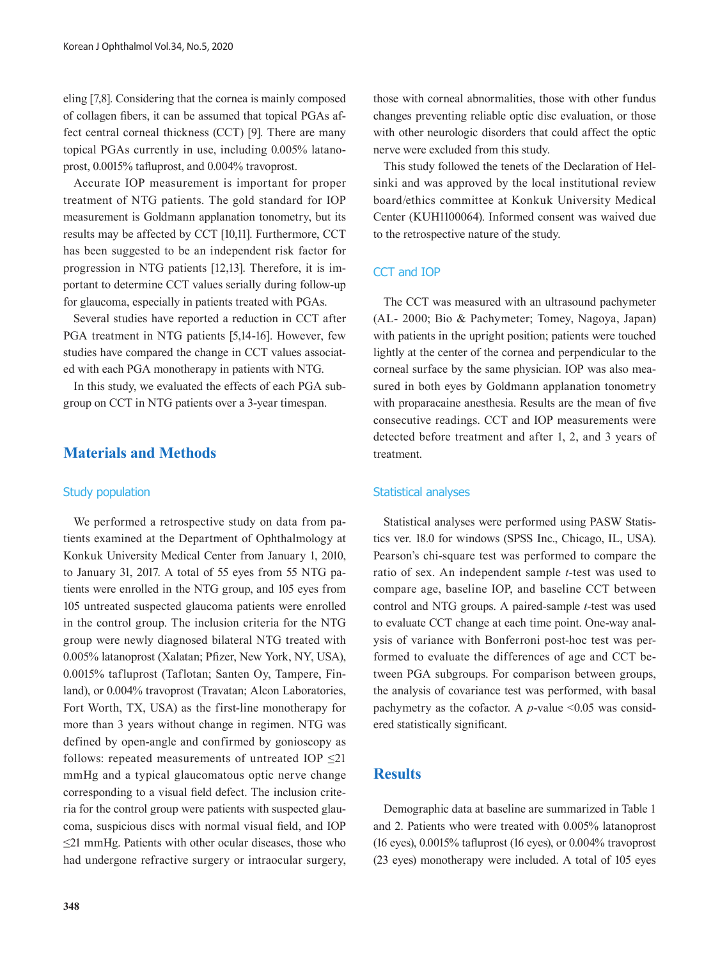eling [7,8]. Considering that the cornea is mainly composed of collagen fibers, it can be assumed that topical PGAs affect central corneal thickness (CCT) [9]. There are many topical PGAs currently in use, including 0.005% latanoprost, 0.0015% tafluprost, and 0.004% travoprost.

Accurate IOP measurement is important for proper treatment of NTG patients. The gold standard for IOP measurement is Goldmann applanation tonometry, but its results may be affected by CCT [10,11]. Furthermore, CCT has been suggested to be an independent risk factor for progression in NTG patients [12,13]. Therefore, it is important to determine CCT values serially during follow-up for glaucoma, especially in patients treated with PGAs.

Several studies have reported a reduction in CCT after PGA treatment in NTG patients [5,14-16]. However, few studies have compared the change in CCT values associated with each PGA monotherapy in patients with NTG.

In this study, we evaluated the effects of each PGA subgroup on CCT in NTG patients over a 3-year timespan.

## **Materials and Methods**

#### Study population

We performed a retrospective study on data from patients examined at the Department of Ophthalmology at Konkuk University Medical Center from January 1, 2010, to January 31, 2017. A total of 55 eyes from 55 NTG patients were enrolled in the NTG group, and 105 eyes from 105 untreated suspected glaucoma patients were enrolled in the control group. The inclusion criteria for the NTG group were newly diagnosed bilateral NTG treated with 0.005% latanoprost (Xalatan; Pfizer, New York, NY, USA), 0.0015% tafluprost (Taflotan; Santen Oy, Tampere, Finland), or 0.004% travoprost (Travatan; Alcon Laboratories, Fort Worth, TX, USA) as the first-line monotherapy for more than 3 years without change in regimen. NTG was defined by open-angle and confirmed by gonioscopy as follows: repeated measurements of untreated IOP  $\leq$ 21 mmHg and a typical glaucomatous optic nerve change corresponding to a visual field defect. The inclusion criteria for the control group were patients with suspected glaucoma, suspicious discs with normal visual field, and IOP ≤21 mmHg. Patients with other ocular diseases, those who had undergone refractive surgery or intraocular surgery,

those with corneal abnormalities, those with other fundus changes preventing reliable optic disc evaluation, or those with other neurologic disorders that could affect the optic nerve were excluded from this study.

This study followed the tenets of the Declaration of Helsinki and was approved by the local institutional review board/ethics committee at Konkuk University Medical Center (KUH1100064). Informed consent was waived due to the retrospective nature of the study.

### CCT and IOP

The CCT was measured with an ultrasound pachymeter (AL- 2000; Bio & Pachymeter; Tomey, Nagoya, Japan) with patients in the upright position; patients were touched lightly at the center of the cornea and perpendicular to the corneal surface by the same physician. IOP was also measured in both eyes by Goldmann applanation tonometry with proparacaine anesthesia. Results are the mean of five consecutive readings. CCT and IOP measurements were detected before treatment and after 1, 2, and 3 years of treatment.

#### Statistical analyses

Statistical analyses were performed using PASW Statistics ver. 18.0 for windows (SPSS Inc., Chicago, IL, USA). Pearson's chi-square test was performed to compare the ratio of sex. An independent sample *t*-test was used to compare age, baseline IOP, and baseline CCT between control and NTG groups. A paired-sample *t*-test was used to evaluate CCT change at each time point. One-way analysis of variance with Bonferroni post-hoc test was performed to evaluate the differences of age and CCT between PGA subgroups. For comparison between groups, the analysis of covariance test was performed, with basal pachymetry as the cofactor. A  $p$ -value <0.05 was considered statistically significant.

# **Results**

Demographic data at baseline are summarized in Table 1 and 2. Patients who were treated with 0.005% latanoprost (16 eyes), 0.0015% tafluprost (16 eyes), or 0.004% travoprost (23 eyes) monotherapy were included. A total of 105 eyes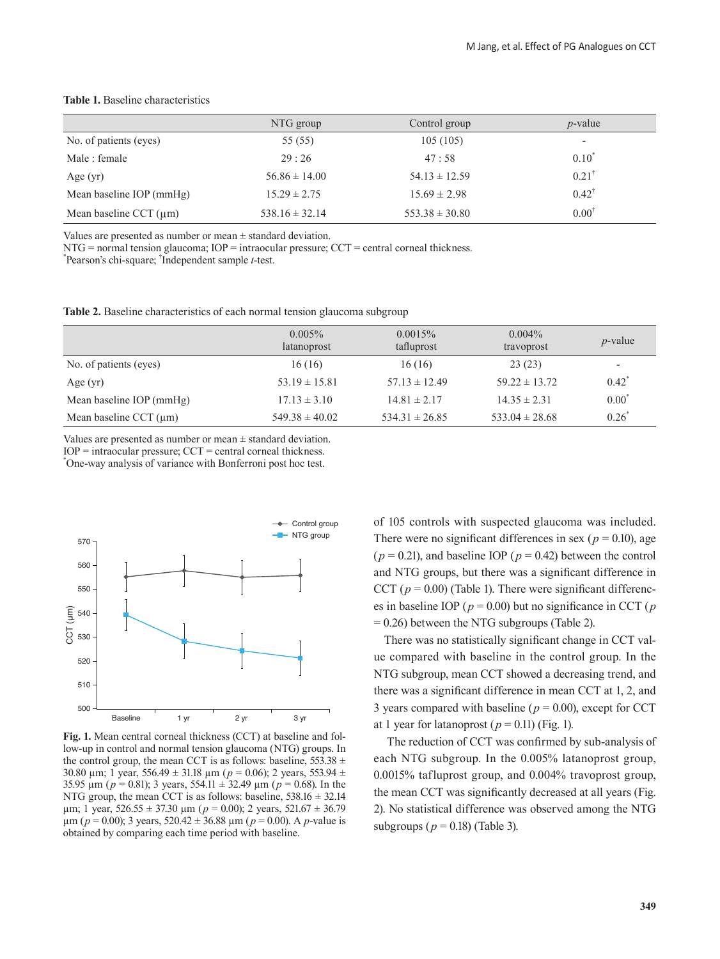|                             | NTG group          | Control group      | $p$ -value               |
|-----------------------------|--------------------|--------------------|--------------------------|
| No. of patients (eyes)      | 55 (55)            | 105(105)           | $\overline{\phantom{a}}$ |
| Male : female               | 29:26              | 47:58              | $0.10^{*}$               |
| Age $(yr)$                  | $56.86 \pm 14.00$  | $54.13 \pm 12.59$  | $0.21^{\dagger}$         |
| Mean baseline IOP (mmHg)    | $15.29 \pm 2.75$   | $15.69 \pm 2.98$   | $0.42^{\dagger}$         |
| Mean baseline CCT $(\mu m)$ | $538.16 \pm 32.14$ | $553.38 \pm 30.80$ | $0.00^{\dagger}$         |

#### **Table 1.** Baseline characteristics

Values are presented as number or mean  $\pm$  standard deviation.

 $NTG = normal tension$  glaucoma;  $IOP = intraocular pressure$ ;  $CCT = central corneal thickness$ .

\* Pearson's chi-square; † Independent sample *t*-test.

**Table 2.** Baseline characteristics of each normal tension glaucoma subgroup

|                             | $0.005\%$<br>latanoprost | $0.0015\%$<br>tafluprost | $0.004\%$<br>travoprost | $p$ -value               |
|-----------------------------|--------------------------|--------------------------|-------------------------|--------------------------|
| No. of patients (eyes)      | 16(16)                   | 16(16)                   | 23(23)                  | $\overline{\phantom{a}}$ |
| Age $(yr)$                  | $53.19 \pm 15.81$        | $57.13 \pm 12.49$        | $59.22 \pm 13.72$       | $0.42^*$                 |
| Mean baseline IOP (mmHg)    | $17.13 \pm 3.10$         | $14.81 \pm 2.17$         | $14.35 \pm 2.31$        | $0.00^{\degree}$         |
| Mean baseline CCT $(\mu m)$ | $549.38 \pm 40.02$       | $534.31 \pm 26.85$       | $533.04 \pm 28.68$      | 0.26                     |

Values are presented as number or mean  $\pm$  standard deviation.  $IOP = \text{intraocular pressure}$ ;  $CCT = \text{central corneal thickness}$ .

\* One-way analysis of variance with Bonferroni post hoc test.



**Fig. 1.** Mean central corneal thickness (CCT) at baseline and follow-up in control and normal tension glaucoma (NTG) groups. In the control group, the mean CCT is as follows: baseline,  $553.38 \pm$ 30.80 µm; 1 year, 556.49 ± 31.18 µm (*p* = 0.06); 2 years, 553.94 ± 35.95 µm (*p* = 0.81); 3 years, 554.11 ± 32.49 µm (*p* = 0.68). In the NTG group, the mean CCT is as follows: baseline,  $538.16 \pm 32.14$  $\mu$ m; 1 year, 526.55 ± 37.30  $\mu$ m ( $p = 0.00$ ); 2 years, 521.67 ± 36.79  $\mu$ m (*p* = 0.00); 3 years, 520.42  $\pm$  36.88  $\mu$ m (*p* = 0.00). A *p*-value is obtained by comparing each time period with baseline.

of 105 controls with suspected glaucoma was included. There were no significant differences in sex ( $p = 0.10$ ), age  $(p = 0.21)$ , and baseline IOP  $(p = 0.42)$  between the control and NTG groups, but there was a significant difference in CCT ( $p = 0.00$ ) (Table 1). There were significant differences in baseline IOP ( $p = 0.00$ ) but no significance in CCT ( $p$  $= 0.26$ ) between the NTG subgroups (Table 2).

There was no statistically significant change in CCT value compared with baseline in the control group. In the NTG subgroup, mean CCT showed a decreasing trend, and there was a significant difference in mean CCT at 1, 2, and 3 years compared with baseline ( $p = 0.00$ ), except for CCT at 1 year for latanoprost ( $p = 0.11$ ) (Fig. 1).

 The reduction of CCT was confirmed by sub-analysis of each NTG subgroup. In the 0.005% latanoprost group, 0.0015% tafluprost group, and 0.004% travoprost group, the mean CCT was significantly decreased at all years (Fig. 2). No statistical difference was observed among the NTG subgroups ( $p = 0.18$ ) (Table 3).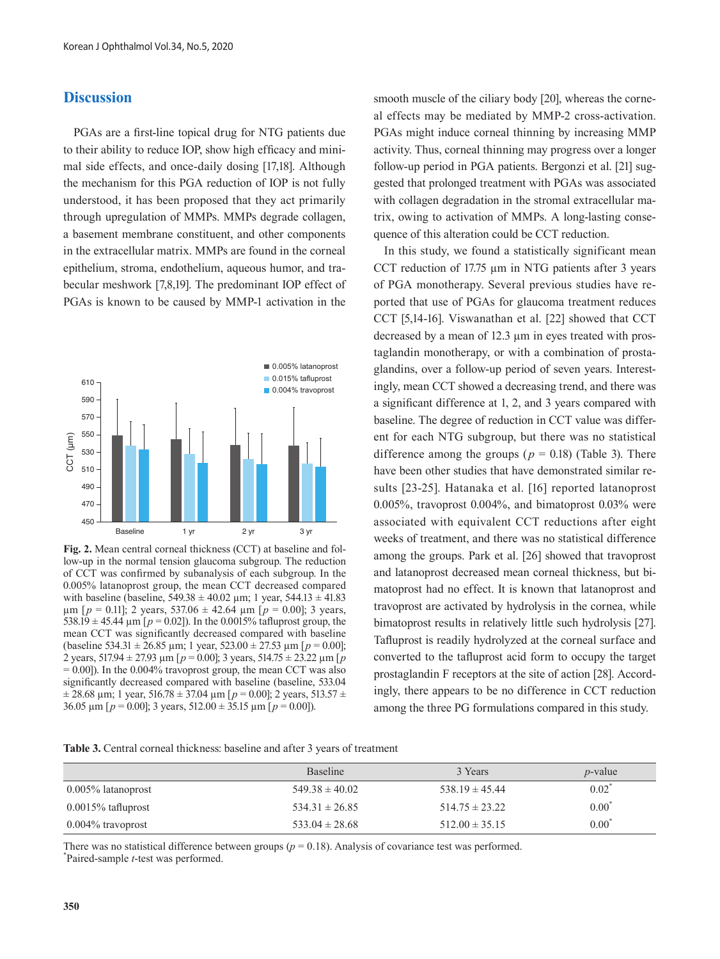## **Discussion**

PGAs are a first-line topical drug for NTG patients due to their ability to reduce IOP, show high efficacy and minimal side effects, and once-daily dosing [17,18]. Although the mechanism for this PGA reduction of IOP is not fully understood, it has been proposed that they act primarily through upregulation of MMPs. MMPs degrade collagen, a basement membrane constituent, and other components in the extracellular matrix. MMPs are found in the corneal epithelium, stroma, endothelium, aqueous humor, and trabecular meshwork [7,8,19]. The predominant IOP effect of PGAs is known to be caused by MMP-1 activation in the



**Fig. 2.** Mean central corneal thickness (CCT) at baseline and follow-up in the normal tension glaucoma subgroup. The reduction of CCT was confirmed by subanalysis of each subgroup. In the 0.005% latanoprost group, the mean CCT decreased compared with baseline (baseline,  $549.38 \pm 40.02$  µm; 1 year,  $544.13 \pm 41.83$  $\mu$ m [ $p = 0.11$ ]; 2 years, 537.06  $\pm$  42.64  $\mu$ m [ $p = 0.00$ ]; 3 years, 538.19  $\pm$  45.44  $\mu$ m [ $p = 0.02$ ]). In the 0.0015% tafluprost group, the mean CCT was significantly decreased compared with baseline (baseline 534.31  $\pm$  26.85 µm; 1 year, 523.00  $\pm$  27.53 µm [ $p = 0.00$ ]; 2 years, 517.94 ± 27.93 µm [*p* = 0.00]; 3 years, 514.75 ± 23.22 µm [*p* = 0.00]). In the 0.004% travoprost group, the mean CCT was also significantly decreased compared with baseline (baseline, 533.04  $\pm$  28.68 µm; 1 year, 516.78  $\pm$  37.04 µm [ $p = 0.00$ ]; 2 years, 513.57  $\pm$ 36.05  $\mu$ m [ $p = 0.00$ ]; 3 years, 512.00  $\pm$  35.15  $\mu$ m [ $p = 0.00$ ]).

smooth muscle of the ciliary body [20], whereas the corneal effects may be mediated by MMP-2 cross-activation. PGAs might induce corneal thinning by increasing MMP activity. Thus, corneal thinning may progress over a longer follow-up period in PGA patients. Bergonzi et al. [21] suggested that prolonged treatment with PGAs was associated with collagen degradation in the stromal extracellular matrix, owing to activation of MMPs. A long-lasting consequence of this alteration could be CCT reduction.

In this study, we found a statistically significant mean CCT reduction of 17.75 µm in NTG patients after 3 years of PGA monotherapy. Several previous studies have reported that use of PGAs for glaucoma treatment reduces CCT [5,14-16]. Viswanathan et al. [22] showed that CCT decreased by a mean of 12.3 µm in eyes treated with prostaglandin monotherapy, or with a combination of prostaglandins, over a follow-up period of seven years. Interestingly, mean CCT showed a decreasing trend, and there was a significant difference at 1, 2, and 3 years compared with baseline. The degree of reduction in CCT value was different for each NTG subgroup, but there was no statistical difference among the groups ( $p = 0.18$ ) (Table 3). There have been other studies that have demonstrated similar results [23-25]. Hatanaka et al. [16] reported latanoprost 0.005%, travoprost 0.004%, and bimatoprost 0.03% were associated with equivalent CCT reductions after eight weeks of treatment, and there was no statistical difference among the groups. Park et al. [26] showed that travoprost and latanoprost decreased mean corneal thickness, but bimatoprost had no effect. It is known that latanoprost and travoprost are activated by hydrolysis in the cornea, while bimatoprost results in relatively little such hydrolysis [27]. Tafluprost is readily hydrolyzed at the corneal surface and converted to the tafluprost acid form to occupy the target prostaglandin F receptors at the site of action [28]. Accordingly, there appears to be no difference in CCT reduction among the three PG formulations compared in this study.

| <b>Table 3.</b> Central corneal thickness: baseline and after 3 years of treatment |  |
|------------------------------------------------------------------------------------|--|
|------------------------------------------------------------------------------------|--|

|                       | <b>Baseline</b>    | 3 Years            | $p$ -value       |
|-----------------------|--------------------|--------------------|------------------|
| 0.005% latanoprost    | $549.38 \pm 40.02$ | $538.19 \pm 45.44$ | $0.02^{\degree}$ |
| $0.0015\%$ tafluprost | $534.31 \pm 26.85$ | $514.75 \pm 23.22$ | $0.00^{\degree}$ |
| $0.004\%$ travoprost  | $533.04 \pm 28.68$ | $512.00 \pm 35.15$ | $0.00^{\degree}$ |

There was no statistical difference between groups ( $p = 0.18$ ). Analysis of covariance test was performed. Paired-sample *t*-test was performed.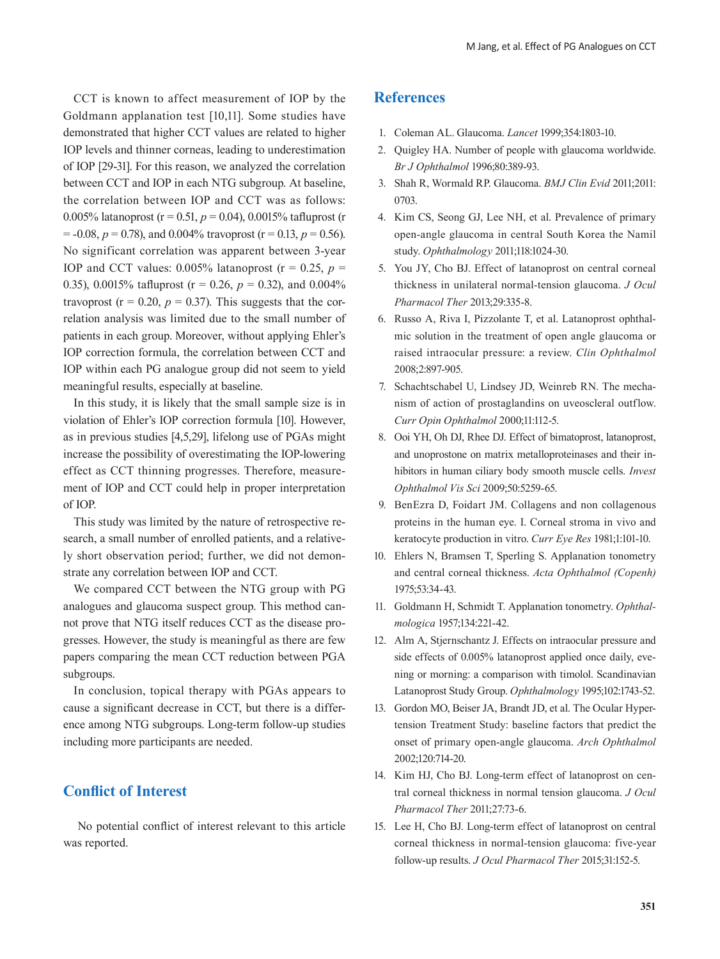CCT is known to affect measurement of IOP by the Goldmann applanation test [10,11]. Some studies have demonstrated that higher CCT values are related to higher IOP levels and thinner corneas, leading to underestimation of IOP [29-31]. For this reason, we analyzed the correlation between CCT and IOP in each NTG subgroup. At baseline, the correlation between IOP and CCT was as follows: 0.005% latanoprost (r = 0.51, *p* = 0.04), 0.0015% tafluprost (r  $= -0.08$ ,  $p = 0.78$ ), and 0.004% travoprost (r = 0.13,  $p = 0.56$ ). No significant correlation was apparent between 3-year IOP and CCT values:  $0.005\%$  latanoprost ( $r = 0.25$ ,  $p =$ 0.35), 0.0015% tafluprost ( $r = 0.26$ ,  $p = 0.32$ ), and 0.004% travoprost ( $r = 0.20$ ,  $p = 0.37$ ). This suggests that the correlation analysis was limited due to the small number of patients in each group. Moreover, without applying Ehler's IOP correction formula, the correlation between CCT and IOP within each PG analogue group did not seem to yield meaningful results, especially at baseline.

In this study, it is likely that the small sample size is in violation of Ehler's IOP correction formula [10]. However, as in previous studies [4,5,29], lifelong use of PGAs might increase the possibility of overestimating the IOP-lowering effect as CCT thinning progresses. Therefore, measurement of IOP and CCT could help in proper interpretation of IOP.

This study was limited by the nature of retrospective research, a small number of enrolled patients, and a relatively short observation period; further, we did not demonstrate any correlation between IOP and CCT.

We compared CCT between the NTG group with PG analogues and glaucoma suspect group. This method cannot prove that NTG itself reduces CCT as the disease progresses. However, the study is meaningful as there are few papers comparing the mean CCT reduction between PGA subgroups.

In conclusion, topical therapy with PGAs appears to cause a significant decrease in CCT, but there is a difference among NTG subgroups. Long-term follow-up studies including more participants are needed.

## **Conflict of Interest**

 No potential conflict of interest relevant to this article was reported.

## **References**

- 1. Coleman AL. Glaucoma. *Lancet* 1999;354:1803-10.
- 2. Quigley HA. Number of people with glaucoma worldwide. *Br J Ophthalmol* 1996;80:389-93.
- 3. Shah R, Wormald RP. Glaucoma. *BMJ Clin Evid* 2011;2011: 0703.
- 4. Kim CS, Seong GJ, Lee NH, et al. Prevalence of primary open-angle glaucoma in central South Korea the Namil study. *Ophthalmology* 2011;118:1024-30.
- 5. You JY, Cho BJ. Effect of latanoprost on central corneal thickness in unilateral normal-tension glaucoma. *J Ocul Pharmacol Ther* 2013;29:335-8.
- 6. Russo A, Riva I, Pizzolante T, et al. Latanoprost ophthalmic solution in the treatment of open angle glaucoma or raised intraocular pressure: a review. *Clin Ophthalmol* 2008;2:897-905.
- 7. Schachtschabel U, Lindsey JD, Weinreb RN. The mechanism of action of prostaglandins on uveoscleral outflow. *Curr Opin Ophthalmol* 2000;11:112-5.
- 8. Ooi YH, Oh DJ, Rhee DJ. Effect of bimatoprost, latanoprost, and unoprostone on matrix metalloproteinases and their inhibitors in human ciliary body smooth muscle cells. *Invest Ophthalmol Vis Sci* 2009;50:5259-65.
- 9. BenEzra D, Foidart JM. Collagens and non collagenous proteins in the human eye. I. Corneal stroma in vivo and keratocyte production in vitro. *Curr Eye Res* 1981;1:101-10.
- 10. Ehlers N, Bramsen T, Sperling S. Applanation tonometry and central corneal thickness. *Acta Ophthalmol (Copenh)* 1975;53:34-43.
- 11. Goldmann H, Schmidt T. Applanation tonometry. *Ophthalmologica* 1957;134:221-42.
- 12. Alm A, Stjernschantz J. Effects on intraocular pressure and side effects of 0.005% latanoprost applied once daily, evening or morning: a comparison with timolol. Scandinavian Latanoprost Study Group. *Ophthalmology* 1995;102:1743-52.
- 13. Gordon MO, Beiser JA, Brandt JD, et al. The Ocular Hypertension Treatment Study: baseline factors that predict the onset of primary open-angle glaucoma. *Arch Ophthalmol* 2002;120:714-20.
- 14. Kim HJ, Cho BJ. Long-term effect of latanoprost on central corneal thickness in normal tension glaucoma. *J Ocul Pharmacol Ther* 2011;27:73-6.
- 15. Lee H, Cho BJ. Long-term effect of latanoprost on central corneal thickness in normal-tension glaucoma: five-year follow-up results. *J Ocul Pharmacol Ther* 2015;31:152-5.